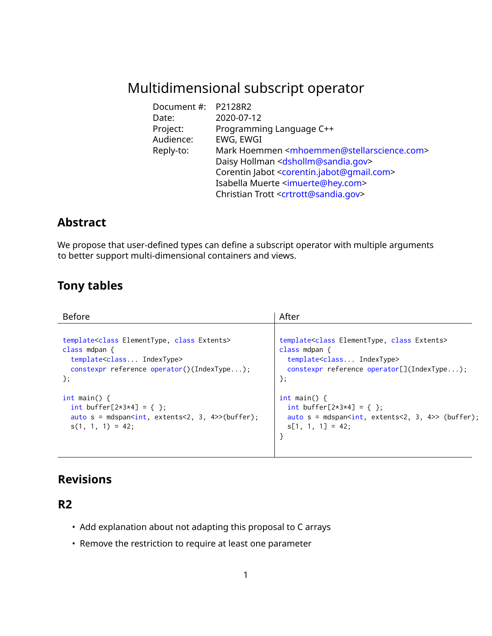# Multidimensional subscript operator

| Document #: P2128R2 |                                                                          |
|---------------------|--------------------------------------------------------------------------|
| Date:               | 2020-07-12                                                               |
| Project:            | Programming Language C++                                                 |
| Audience:           | EWG, EWGI                                                                |
| Reply-to:           | Mark Hoemmen <mhoemmen@stellarscience.com></mhoemmen@stellarscience.com> |
|                     | Daisy Hollman <dshollm@sandia.gov></dshollm@sandia.gov>                  |
|                     | Corentin Jabot <corentin.jabot@gmail.com></corentin.jabot@gmail.com>     |
|                     | Isabella Muerte <imuerte@hey.com></imuerte@hey.com>                      |
|                     | Christian Trott <crtrott@sandia.gov></crtrott@sandia.gov>                |

### **Abstract**

We propose that user-defined types can define a subscript operator with multiple arguments to better support multi-dimensional containers and views.

## **Tony tables**

| <b>Before</b>                                                          | After                                                        |
|------------------------------------------------------------------------|--------------------------------------------------------------|
| template <class class="" elementtype,="" extents=""></class>           | template <class class="" elementtype,="" extents=""></class> |
| class mdpan $\{$                                                       | class mdpan $\{$                                             |
| template <class indextype=""></class>                                  | template <class indextype=""></class>                        |
| constexpr reference operator()(IndexType);                             | constexpr reference operator[](IndexType);                   |
| };                                                                     | $\}$ ;                                                       |
| int main() $\{$                                                        | $int \text{ main() } f$                                      |
| int buffer[ $2*3*4$ ] = { };                                           | int buffer[ $2*3*4$ ] = { };                                 |
| auto $s = mds$ pan <int, 3,="" 4="" extents<2,="">&gt;(buffer);</int,> | auto $s = mds$ pan $\sin t$ , extents < 2, 3, 4>> (buffer);  |
| $s(1, 1, 1) = 42;$                                                     | $s[1, 1, 1] = 42$ ;                                          |

## **Revisions**

### **R2**

- Add explanation about not adapting this proposal to C arrays
- Remove the restriction to require at least one parameter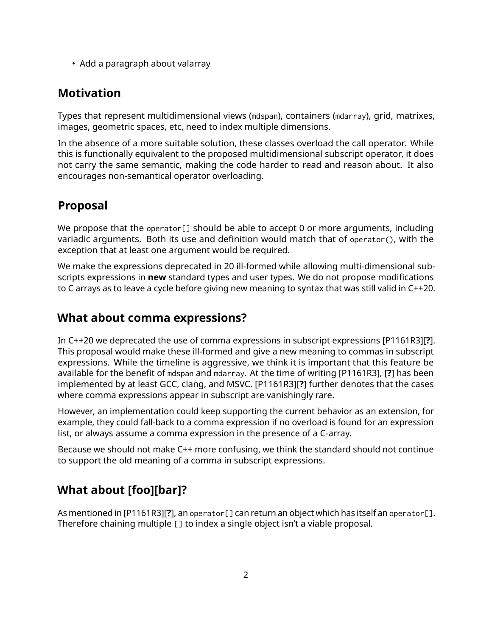• Add a paragraph about valarray

## **Motivation**

Types that represent multidimensional views (mdspan), containers (mdarray), grid, matrixes, images, geometric spaces, etc, need to index multiple dimensions.

In the absence of a more suitable solution, these classes overload the call operator. While this is functionally equivalent to the proposed multidimensional subscript operator, it does not carry the same semantic, making the code harder to read and reason about. It also encourages non-semantical operator overloading.

## **Proposal**

We propose that the operator  $\lceil \cdot \rceil$  should be able to accept 0 or more arguments, including variadic arguments. Both its use and definition would match that of operator(), with the exception that at least one argument would be required.

We make the expressions deprecated in 20 ill-formed while allowing multi-dimensional subscripts expressions in **new** standard types and user types. We do not propose modifications to C arrays as to leave a cycle before giving new meaning to syntax that was still valid in C++20.

## **What about comma expressions?**

In C++20 we deprecated the use of comma expressions in subscript expressions [P1161R3][**?**]. This proposal would make these ill-formed and give a new meaning to commas in subscript expressions. While the timeline is aggressive, we think it is important that this feature be available for the benefit of mdspan and mdarray. At the time of writing [P1161R3], [**?**] has been implemented by at least GCC, clang, and MSVC. [P1161R3][**?**] further denotes that the cases where comma expressions appear in subscript are vanishingly rare.

However, an implementation could keep supporting the current behavior as an extension, for example, they could fall-back to a comma expression if no overload is found for an expression list, or always assume a comma expression in the presence of a C-array.

Because we should not make C++ more confusing, we think the standard should not continue to support the old meaning of a comma in subscript expressions.

# **What about [foo][bar]?**

As mentioned in [P1161R3][**?**], an operator[] can return an object which has itself an operator[]. Therefore chaining multiple [] to index a single object isn't a viable proposal.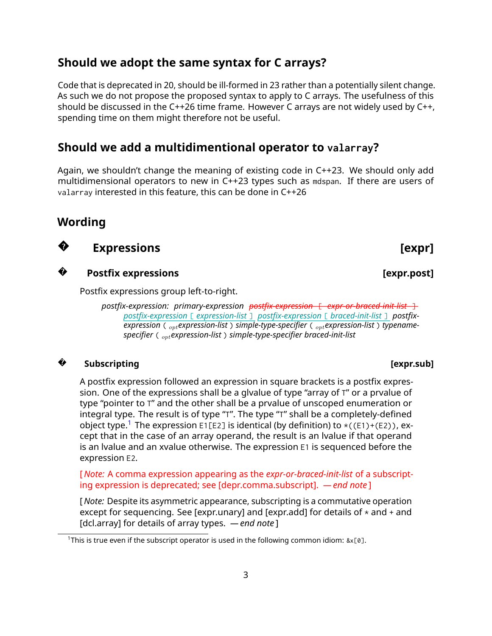## **Should we adopt the same syntax for C arrays?**

Code that is deprecated in 20, should be ill-formed in 23 rather than a potentially silent change. As such we do not propose the proposed syntax to apply to C arrays. The usefulness of this should be discussed in the C++26 time frame. However C arrays are not widely used by C++, spending time on them might therefore not be useful.

### **Should we add a multidimentional operator to valarray?**

Again, we shouldn't change the meaning of existing code in C++23. We should only add multidimensional operators to new in C++23 types such as mdspan. If there are users of valarray interested in this feature, this can be done in C++26

### **Wording**

**?**

**?**

Postfix expressions group left-to-right.

*postfix-expression: primary-expression postfix-expression* [ *expr-or-braced-init-list* ] *postfix-expression* [ *expression-list* ] *postfix-expression* [ *braced-init-list* ] *postfixexpression* ( *optexpression-list* ) *simple-type-specifier* ( *optexpression-list* ) *typenamespecifier* ( *optexpression-list* ) *simple-type-specifier braced-init-list*

**Expressions** [expr]

### **? Subscripting [expr.sub]**

A postfix expression followed an expression in square brackets is a postfix expression. One of the expressions shall be a glvalue of type "array of T" or a prvalue of type "pointer to T" and the other shall be a prvalue of unscoped enumeration or integral type. The result is of type "T". The type "T" shall be a completely-defined object type.<sup>[1](#page-2-0)</sup> The expression E1[E2] is identical (by definition) to  $\star$  ((E1)+(E2)), except that in the case of an array operand, the result is an lvalue if that operand is an lvalue and an xvalue otherwise. The expression E1 is sequenced before the expression E2.

[ *Note:* A comma expression appearing as the *expr-or-braced-init-list* of a subscripting expression is deprecated; see [depr.comma.subscript]. *— end note* ]

[ *Note:* Despite its asymmetric appearance, subscripting is a commutative operation except for sequencing. See [expr.unary] and [expr.add] for details of  $*$  and  $*$  and [dcl.array] for details of array types. *— end note* ]

**Postfix expressions [expr.post]**

<span id="page-2-0"></span><sup>&</sup>lt;sup>1</sup>This is true even if the subscript operator is used in the following common idiom: &x[0].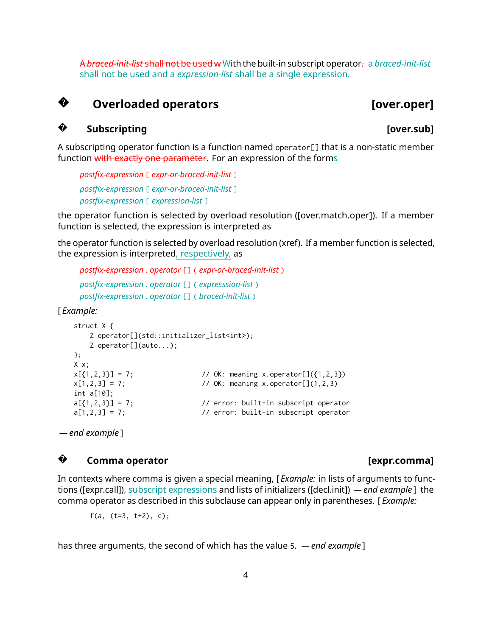A *braced-init-list* shall not be used w With the built-in subscript operator. a *braced-init-list* shall not be used and a *expression-list* shall be a single expression.

### **?Overloaded operators [over.oper]**

### **?Subscripting [over.sub]**

A subscripting operator function is a function named operator[] that is a non-static member function with exactly one parameter. For an expression of the forms

*postfix-expression* [ *expr-or-braced-init-list* ] *postfix-expression* [ *expr-or-braced-init-list* ] *postfix-expression* [ *expression-list* ]

the operator function is selected by overload resolution ([over.match.oper]). If a member function is selected, the expression is interpreted as

the operator function is selected by overload resolution (xref). If a member function is selected, the expression is interpreted, respectively, as

*postfix-expression . operator* [] ( *expr-or-braced-init-list* ) *postfix-expression . operator* [] ( *expresssion-list* ) *postfix-expression . operator* [] ( *braced-init-list* )

[ *Example:*

```
struct X {
   Z operator[](std::initializer_list<int>);
   Z operator[](auto...);
\}:
X x;
x[{1,2,3}] = 7; // OK: meaning x.operator[]({1,2,3})
x[1,2,3] = 7; // OK: meaning x.operator[](1,2,3)
int a[10];
a[{1,2,3}] = 7; // error: built-in subscript operator
a[1,2,3] = 7; // error: built-in subscript operator
```
*— end example* ]

### **?Comma operator in the community of the community of the community of the community of the community of the community of the community of the community of the community of the community of the community of the community of**

In contexts where comma is given a special meaning, [ *Example:* in lists of arguments to functions ([expr.call]), subscript expressions and lists of initializers ([decl.init]) *— end example* ] the comma operator as described in this subclause can appear only in parentheses. [ *Example:*

f(a,  $(t=3, t+2)$ , c);

has three arguments, the second of which has the value 5. *— end example* ]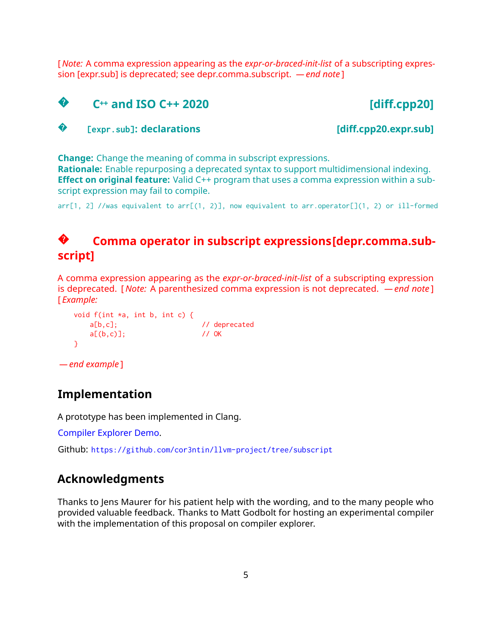[ *Note:* A comma expression appearing as the *expr-or-braced-init-list* of a subscripting expression [expr.sub] is deprecated; see depr.comma.subscript. *— end note* ]

### **?C++ and ISO C++ 2020 [diff.cpp20]**

**?**[expr.sub]**: declarations** [diff.cpp20.expr.sub]

**Change:** Change the meaning of comma in subscript expressions.

**Rationale:** Enable repurposing a deprecated syntax to support multidimensional indexing. **Effect on original feature:** Valid C++ program that uses a comma expression within a subscript expression may fail to compile.

arr[1, 2] //was equivalent to arr[(1, 2)], now equivalent to arr.operator[](1, 2) or ill-formed

### **?Comma operator in subscript expressions[depr.comma.subscript]**

A comma expression appearing as the *expr-or-braced-init-list* of a subscripting expression is deprecated. [ *Note:* A parenthesized comma expression is not deprecated. *— end note* ] [ *Example:*

```
void f(int *a, int b, int c) {
  a[b,c]; // deprecated
  a[(b,c)]; // OK
}
```

```
— end example ]
```
## **Implementation**

A prototype has been implemented in Clang.

[Compiler Explorer Demo.](https://gcc.godbolt.org/z/4szfLo)

Github: <https://github.com/cor3ntin/llvm-project/tree/subscript>

## **Acknowledgments**

Thanks to Jens Maurer for his patient help with the wording, and to the many people who provided valuable feedback. Thanks to Matt Godbolt for hosting an experimental compiler with the implementation of this proposal on compiler explorer.